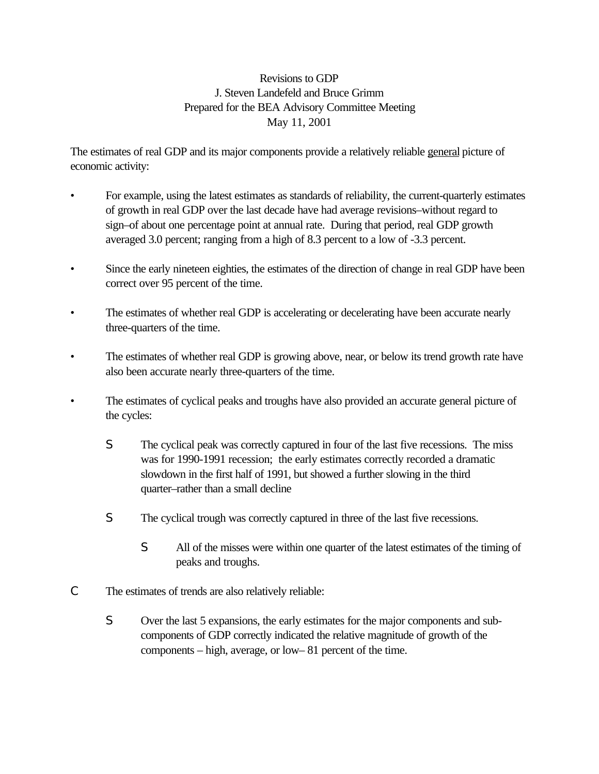## Revisions to GDP J. Steven Landefeld and Bruce Grimm Prepared for the BEA Advisory Committee Meeting May 11, 2001

The estimates of real GDP and its major components provide a relatively reliable general picture of economic activity:

- For example, using the latest estimates as standards of reliability, the current-quarterly estimates of growth in real GDP over the last decade have had average revisions–without regard to sign–of about one percentage point at annual rate. During that period, real GDP growth averaged 3.0 percent; ranging from a high of 8.3 percent to a low of -3.3 percent.
- Since the early nineteen eighties, the estimates of the direction of change in real GDP have been correct over 95 percent of the time.
- The estimates of whether real GDP is accelerating or decelerating have been accurate nearly three-quarters of the time.
- The estimates of whether real GDP is growing above, near, or below its trend growth rate have also been accurate nearly three-quarters of the time.
- The estimates of cyclical peaks and troughs have also provided an accurate general picture of the cycles:
	- S The cyclical peak was correctly captured in four of the last five recessions. The miss was for 1990-1991 recession; the early estimates correctly recorded a dramatic slowdown in the first half of 1991, but showed a further slowing in the third quarter–rather than a small decline
	- S The cyclical trough was correctly captured in three of the last five recessions.
		- S All of the misses were within one quarter of the latest estimates of the timing of peaks and troughs.
- C The estimates of trends are also relatively reliable:
	- S Over the last 5 expansions, the early estimates for the major components and subcomponents of GDP correctly indicated the relative magnitude of growth of the components – high, average, or low– 81 percent of the time.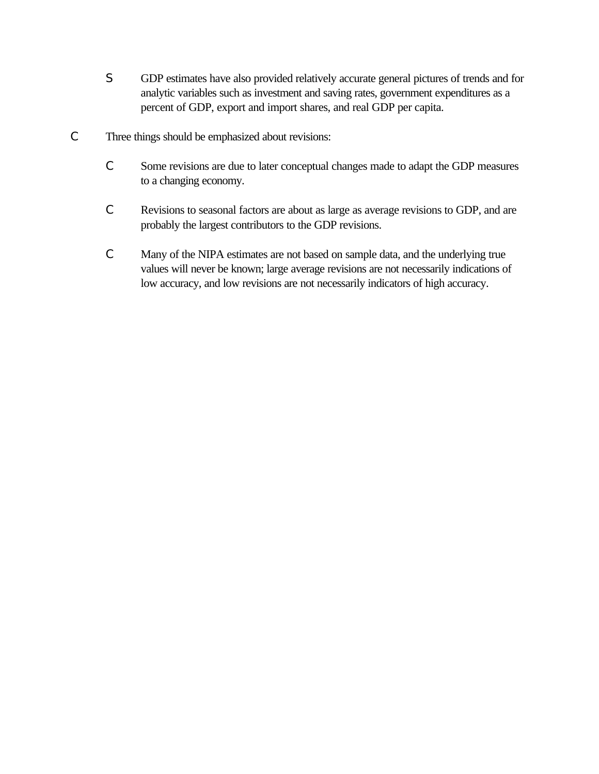- S GDP estimates have also provided relatively accurate general pictures of trends and for analytic variables such as investment and saving rates, government expenditures as a percent of GDP, export and import shares, and real GDP per capita.
- C Three things should be emphasized about revisions:
	- C Some revisions are due to later conceptual changes made to adapt the GDP measures to a changing economy.
	- C Revisions to seasonal factors are about as large as average revisions to GDP, and are probably the largest contributors to the GDP revisions.
	- C Many of the NIPA estimates are not based on sample data, and the underlying true values will never be known; large average revisions are not necessarily indications of low accuracy, and low revisions are not necessarily indicators of high accuracy.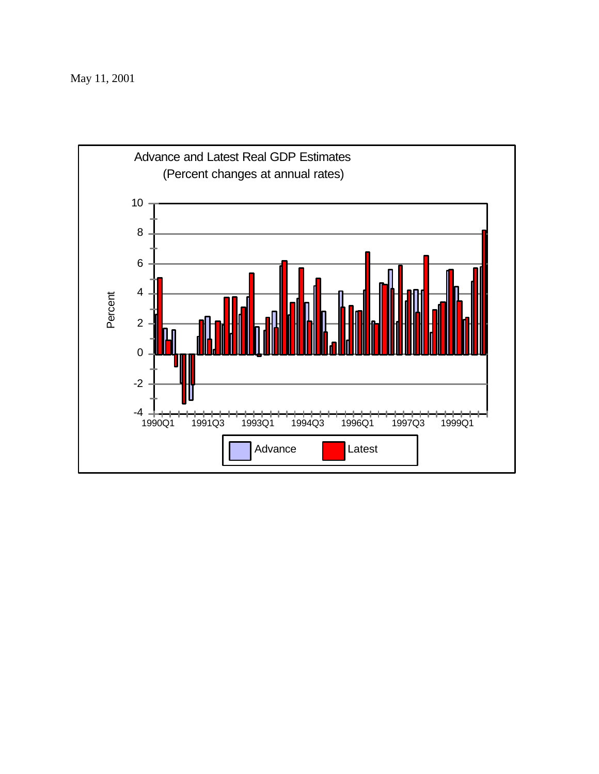May 11, 2001